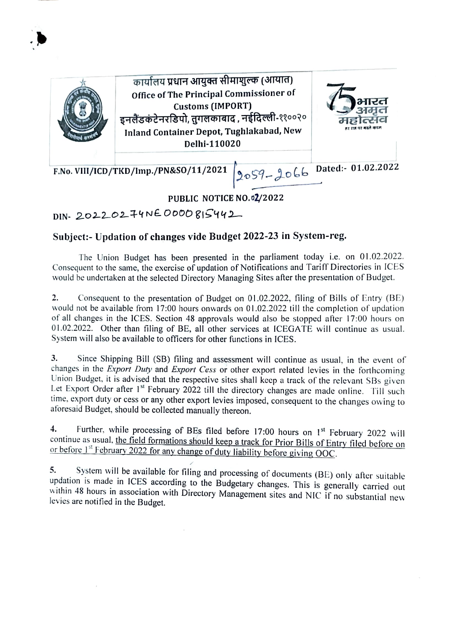

कार्यालय प्रधान आयुक्त सीमाशुल्क (आयात) office of The Principal Commissioner of Customs (IMPORT) इनलैंडकंटेनरडिपो, तुगलकाबाद , नईदिल्ली-११००२० Inland Container Depot, Tughlakabad, New Delhi-110020



F.No. VIII/ICD/TKD/Imp./PN&S0/11/2021 2059 - 2066 Dated:- 01.02.2022

## PUBLIC NOTICE NO.02/2022

DIN- 20220244NE ODO0 81S442

## Subject:- Updation of changes vide Budget 2022-23 in System-reg

The Union Budget has been presented in the parliament today i.e. on 01.02.2022. Consequent to the same, the exercise of updation of Notifications and Tariff Directories in ICES would be undertaken at the selected Directory Managing Sites after the presentation of Budget

2. Consequent to the presentation of Budget on 01.02.2022, filing of Bills of Entry (BE) would not be available from 17:00 hours onwards on 01.02.2022 till the completion of updation of all changes in the ICES. Section 48 approvals would also be stopped after 17:00 hours on 01.02.2022. Other than filing of BE, all other services at ICEGATE will continue as usual. System will also be available to officers for other functions in ICES.

3. Since Shipping Bill (SB) filing and assessment will continue as usual, in the event of changes in the Export Duty and Export Cess or other export related levies in the forthcoming Union Budget. it is advised that the respective sites shall keep a track of the relevant SBs given Let Export Order after 1<sup>st</sup> February 2022 till the directory changes are made online. Till such time, export duty or cess or any other export levies imposed, consequent to the changes owing to aforesaid Budget, should be collected manually thereon.

Further, while processing of BEs filed before 17:00 hours on 1<sup>st</sup> February 2022 will continue as usual, the field formations should keep a track for Prior Bills of Entry filed before on or before 1<sup>st</sup> February 2022 for any change of duty liability before giving OOC. 4.

5. System will be available for filing and processing of documents (BE) only after suitable updation is made in ICES according to the Budgetary changes. This is generally carried out within 48 hours in association with Directory Management sites and NIC if no substantial new levies are notified in the Budget.